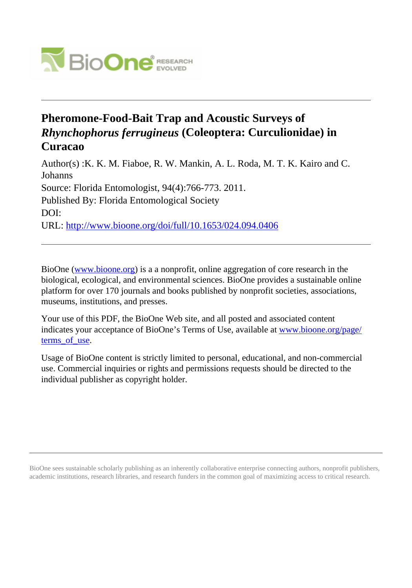

# **Pheromone-Food-Bait Trap and Acoustic Surveys of** *Rhynchophorus ferrugineus* **(Coleoptera: Curculionidae) in Curacao**

Author(s) :K. K. M. Fiaboe, R. W. Mankin, A. L. Roda, M. T. K. Kairo and C. Johanns Source: Florida Entomologist, 94(4):766-773. 2011. Published By: Florida Entomological Society DOI: URL: <http://www.bioone.org/doi/full/10.1653/024.094.0406>

BioOne [\(www.bioone.org\)](http://www.bioone.org) is a a nonprofit, online aggregation of core research in the biological, ecological, and environmental sciences. BioOne provides a sustainable online platform for over 170 journals and books published by nonprofit societies, associations, museums, institutions, and presses.

Your use of this PDF, the BioOne Web site, and all posted and associated content indicates your acceptance of BioOne's Terms of Use, available at [www.bioone.org/page/](http://www.bioone.org/page/terms_of_use) terms of use.

Usage of BioOne content is strictly limited to personal, educational, and non-commercial use. Commercial inquiries or rights and permissions requests should be directed to the individual publisher as copyright holder.

BioOne sees sustainable scholarly publishing as an inherently collaborative enterprise connecting authors, nonprofit publishers, academic institutions, research libraries, and research funders in the common goal of maximizing access to critical research.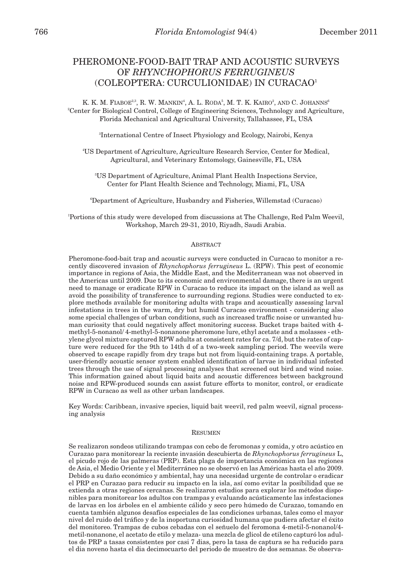## PHEROMONE-FOOD-BAIT TRAP AND ACOUSTIC SURVEYS OF *RHYNCHOPHORUS FERRUGINEUS* (COLEOPTERA: CURCULIONIDAE) IN CURACAO1

K. K. M. FIABOE $^{2,3}$ , R. W. MANKIN<sup>4</sup>, A. L. RODA<sup>5</sup>, M. T. K. KAIRO<sup>2</sup>, AND C. JOHANNS<sup>6</sup> 2 Center for Biological Control, College of Engineering Sciences, Technology and Agriculture, Florida Mechanical and Agricultural University, Tallahassee, FL, USA

3 International Centre of Insect Physiology and Ecology, Nairobi, Kenya

4 US Department of Agriculture, Agriculture Research Service, Center for Medical, Agricultural, and Veterinary Entomology, Gainesville, FL, USA

5 US Department of Agriculture, Animal Plant Health Inspections Service, Center for Plant Health Science and Technology, Miami, FL, USA

6 Department of Agriculture, Husbandry and Fisheries, Willemstad (Curacao)

1 Portions of this study were developed from discussions at The Challenge, Red Palm Weevil, Workshop, March 29-31, 2010, Riyadh, Saudi Arabia.

#### ABSTRACT

Pheromone-food-bait trap and acoustic surveys were conducted in Curacao to monitor a recently discovered invasion of *Rhynchophorus ferrugineus* L. (RPW). This pest of economic importance in regions of Asia, the Middle East, and the Mediterranean was not observed in the Americas until 2009. Due to its economic and environmental damage, there is an urgent need to manage or eradicate RPW in Curacao to reduce its impact on the island as well as avoid the possibility of transference to surrounding regions. Studies were conducted to explore methods available for monitoring adults with traps and acoustically assessing larval infestations in trees in the warm, dry but humid Curacao environment - considering also some special challenges of urban conditions, such as increased traffic noise or unwanted human curiosity that could negatively affect monitoring success. Bucket traps baited with 4 methyl-5-nonanol/ 4-methyl-5-nonanone pheromone lure, ethyl acetate and a molasses - ethylene glycol mixture captured RPW adults at consistent rates for ca. 7/d, but the rates of capture were reduced for the 9th to 14th d of a two-week sampling period. The weevils were observed to escape rapidly from dry traps but not from liquid-containing traps. A portable, user-friendly acoustic sensor system enabled identification of larvae in individual infested trees through the use of signal processing analyses that screened out bird and wind noise. This information gained about liquid baits and acoustic differences between background noise and RPW-produced sounds can assist future efforts to monitor, control, or eradicate RPW in Curacao as well as other urban landscapes.

Key Words: Caribbean, invasive species, liquid bait weevil, red palm weevil, signal processing analysis

#### RESUMEN

Se realizaron sondeos utilizando trampas con cebo de feromonas y comida, y otro acústico en Curazao para monitorear la reciente invasión descubierta de *Rhynchophorus ferrugineus* L, el picudo rojo de las palmeras (PRP). Esta plaga de importancia económica en las regiones de Asia, el Medio Oriente y el Mediterráneo no se observó en las Américas hasta el año 2009. Debido a su daño económico y ambiental, hay una necesidad urgente de controlar o eradicar el PRP en Curazao para reducir su impacto en la isla, así como evitar la posibilidad que se extienda a otras regiones cercanas. Se realizaron estudios para explorar los métodos disponibles para monitorear los adultos con trampas y evaluando acústicamente las infestaciones de larvas en los árboles en el ambiente cálido y seco pero húmedo de Curazao, tomando en cuenta también algunos desafíos especiales de las condiciones urbanas, tales como el mayor nivel del ruido del tráfico y de la inoportuna curiosidad humana que pudiera afectar el éxito del monitoreo. Trampas de cubos cebadas con el señuelo del feromona 4-metil-5-nonanol/4 metil-nonanone, el acetato de etilo y melaza- una mezcla de glicol de etileno capturó los adultos de PRP a tasas consistentes por casi 7 dias, pero la tasa de captura se ha reducido para el dia noveno hasta el dia decimocuarto del periodo de muestro de dos semanas. Se observa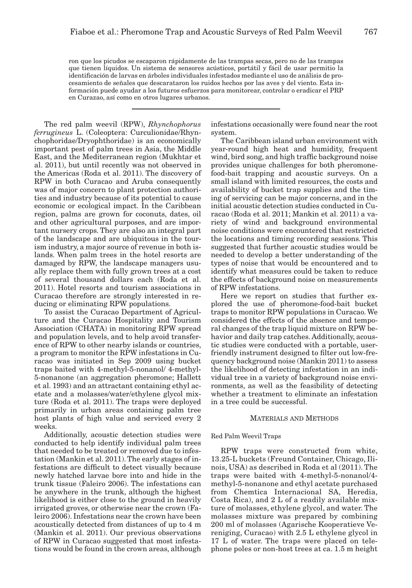ron que los picudos se escaparon rápidamente de las trampas secas, pero no de las trampas que tienen líquidos. Un sistema de sensores acústicos, portátil y fácil de usar permitio la identificación de larvas en árboles individuales infestados mediante el uso de análisis de procesamiento de señales que descarataron los ruidos hechos por las aves y del viento. Esta información puede ayudar a los futuros esfuerzos para monitorear, controlar o eradicar el PRP en Curazao, así como en otros lugares urbanos.

The red palm weevil (RPW), *Rhynchophorus ferrugineus* L. (Coleoptera: Curculionidae/Rhynchophoridae/Dryophthoridae) is an economically important pest of palm trees in Asia, the Middle East, and the Mediterranean region (Mukhtar et al. 2011), but until recently was not observed in the Americas (Roda et al. 2011). The discovery of RPW in both Curacao and Aruba consequently was of major concern to plant protection authorities and industry because of its potential to cause economic or ecological impact. In the Caribbean region, palms are grown for coconuts, dates, oil and other agricultural purposes, and are important nursery crops. They are also an integral part of the landscape and are ubiquitous in the tourism industry, a major source of revenue in both islands. When palm trees in the hotel resorts are damaged by RPW, the landscape managers usually replace them with fully grown trees at a cost of several thousand dollars each (Roda et al. 2011). Hotel resorts and tourism associations in Curacao therefore are strongly interested in reducing or eliminating RPW populations.

To assist the Curacao Department of Agriculture and the Curacao Hospitality and Tourism Association (CHATA) in monitoring RPW spread and population levels, and to help avoid transference of RPW to other nearby islands or countries, a program to monitor the RPW infestations in Curacao was initiated in Sep 2009 using bucket traps baited with 4-methyl-5-nonanol/ 4-methyl-5-nonanone (an aggregation pheromone; Hallett et al. 1993) and an attractant containing ethyl acetate and a molasses/water/ethylene glycol mixture (Roda et al. 2011). The traps were deployed primarily in urban areas containing palm tree host plants of high value and serviced every 2 weeks.

Additionally, acoustic detection studies were conducted to help identify individual palm trees that needed to be treated or removed due to infestation (Mankin et al. 2011). The early stages of infestations are difficult to detect visually because newly hatched larvae bore into and hide in the trunk tissue (Faleiro 2006). The infestations can be anywhere in the trunk, although the highest likelihood is either close to the ground in heavily irrigated groves, or otherwise near the crown (Faleiro 2006). Infestations near the crown have been acoustically detected from distances of up to 4 m (Mankin et al. 2011). Our previous observations of RPW in Curacao suggested that most infestations would be found in the crown areas, although infestations occasionally were found near the root system.

The Caribbean island urban environment with year-round high heat and humidity, frequent wind, bird song, and high traffic background noise provides unique challenges for both pheromonefood-bait trapping and acoustic surveys. On a small island with limited resources, the costs and availability of bucket trap supplies and the timing of servicing can be major concerns, and in the initial acoustic detection studies conducted in Curacao (Roda et al. 2011; Mankin et al. 2011) a variety of wind and background environmental noise conditions were encountered that restricted the locations and timing recording sessions. This suggested that further acoustic studies would be needed to develop a better understanding of the types of noise that would be encountered and to identify what measures could be taken to reduce the effects of background noise on measurements of RPW infestations.

Here we report on studies that further explored the use of pheromone-food-bait bucket traps to monitor RPW populations in Curacao. We considered the effects of the absence and temporal changes of the trap liquid mixture on RPW behavior and daily trap catches. Additionally, acoustic studies were conducted with a portable, userfriendly instrument designed to filter out low-frequency background noise (Mankin 2011) to assess the likelihood of detecting infestation in an individual tree in a variety of background noise environments, as well as the feasibility of detecting whether a treatment to eliminate an infestation in a tree could be successful.

### MATERIALS AND METHODS

#### Red Palm Weevil Traps

RPW traps were constructed from white, 13.25-L buckets (Freund Container, Chicago, Ilinois, USA) as described in Roda et al (2011). The traps were baited with 4-methyl-5-nonanol/4 methyl-5-nonanone and ethyl acetate purchased from Chemtica Internacional SA, Heredia, Costa Rica), and 2 L of a readily available mixture of molasses, ethylene glycol, and water. The molasses mixture was prepared by combining 200 ml of molasses (Agarische Kooperatieve Vereniging, Curacao) with 2.5 L ethylene glycol in 17 L of water. The traps were placed on telephone poles or non-host trees at ca. 1.5 m height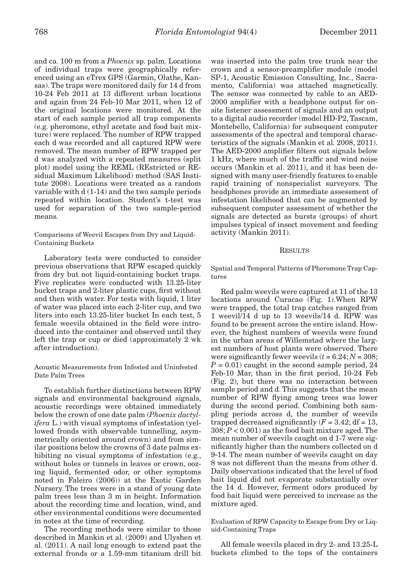and ca. 100 m from a *Phoenix* sp. palm. Locations of individual traps were geographically referenced using an eTrex GPS (Garmin, Olathe, Kansas). The traps were monitored daily for 14 d from 10-24 Feb 2011 at 13 different urban locations and again from 24 Feb-10 Mar 2011, when 12 of the original locations were monitored. At the start of each sample period all trap components (e.g. pheromone, ethyl acetate and food bait mixture) were replaced. The number of RPW trapped each d was recorded and all captured RPW were removed. The mean number of RPW trapped per d was analyzed with a repeated measures (split plot) model using the REML (REstricted or REsidual Maximum Likelihood) method (SAS Institute 2008). Locations were treated as a random variable with d (1-14) and the two sample periods repeated within location. Student's t-test was used for separation of the two sample-period means.

Comparisons of Weevil Escapes from Dry and Liquid-Containing Buckets

Laboratory tests were conducted to consider previous observations that RPW escaped quickly from dry but not liquid-containing bucket traps. Five replicates were conducted with 13.25-liter bucket traps and 2-liter plastic cups, first without and then with water. For tests with liquid, 1 liter of water was placed into each 2-liter cup, and two liters into each 13.25-liter bucket In each test, 5 female weevils obtained in the field were introduced into the container and observed until they left the trap or cup or died (approximately 2 wk after introduction).

Acoustic Measurements from Infested and Uninfested Date Palm Trees

To establish further distinctions between RPW signals and environmental background signals, acoustic recordings were obtained immediately below the crown of one date palm (*Phoenix dactylifera* L.) with visual symptoms of infestation (yellowed fronds with observable tunnelling, asymmetrically oriented around crown) and from similar positions below the crowns of 3 date palms exhibiting no visual symptoms of infestation (e.g., without holes or tunnels in leaves or crown, oozing liquid, fermented odor, or other symptoms noted in Faleiro (2006)) at the Exotic Garden Nursery. The trees were in a stand of young date palm trees less than 3 m in height. Information about the recording time and location, wind, and other environmental conditions were documented in notes at the time of recording.

The recording methods were similar to those described in Mankin et al. (2009) and Ulyshen et al. (2011). A nail long enough to extend past the external fronds or a 1.59-mm titanium drill bit was inserted into the palm tree trunk near the crown and a sensor-preamplifier module (model SP-1, Acoustic Emission Consulting, Inc., Sacramento, California) was attached magnetically. The sensor was connected by cable to an AED-2000 amplifier with a headphone output for onsite listener assessment of signals and an output to a digital audio recorder (model HD-P2, Tascam, Montebello, California) for subsequent computer assessments of the spectral and temporal characteristics of the signals (Mankin et al*.* 2008, 2011). The AED-2000 amplifier filters out signals below 1 kHz, where much of the traffic and wind noise occurs (Mankin et al. 2011), and it has been designed with many user-friendly features to enable rapid training of nonspecialist surveyors. The headphones provide an immediate assessment of infestation likelihood that can be augmented by subsequent computer assessment of whether the signals are detected as bursts (groups) of short impulses typical of insect movement and feeding activity (Mankin 2011).

#### **RESULTS**

Spatial and Temporal Patterns of Pheromone Trap Captures

Red palm weevils were captured at 11 of the 13 locations around Curacao (Fig. 1).When RPW were trapped, the total trap catches ranged from 1 weevil/14 d up to 13 weevils/14 d. RPW was found to be present across the entire island. However, the highest numbers of weevils were found in the urban areas of Willemstad where the largest numbers of host plants were observed. There were significantly fewer weevils  $(t = 6.24; N = 308;$  $P = 0.01$ ) caught in the second sample period, 24 Feb-10 Mar, than in the first period, 10-24 Feb (Fig. 2), but there was no interaction between sample period and d. This suggests that the mean number of RPW flying among trees was lower during the second period. Combining both sampling periods across d, the number of weevils trapped decreased significantly  $(F = 3.42; df = 13,$ 308; *P* < 0.001) as the food bait mixture aged. The mean number of weevils caught on d 1-7 were significantly higher than the numbers collected on d 9-14. The mean number of weevils caught on day 8 was not different than the means from other d. Daily observations indicated that the level of food bait liquid did not evaporate substantially over the 14 d. However, ferment odors produced by food bait liquid were perceived to increase as the mixture aged.

Evaluation of RPW Capacity to Escape from Dry or Liquid-Containing Traps

All female weevils placed in dry 2- and 13.25-L buckets climbed to the tops of the containers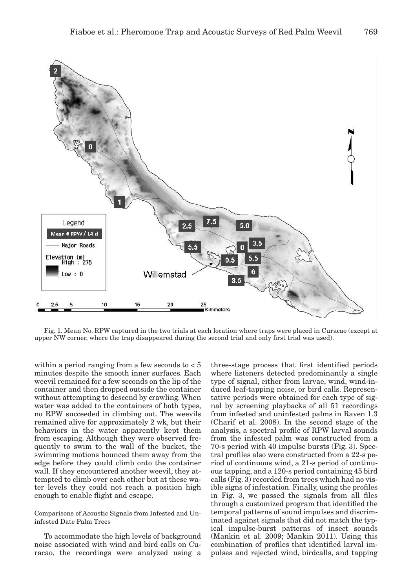

Fig. 1. Mean No. RPW captured in the two trials at each location where traps were placed in Curacao (except at upper NW corner, where the trap disappeared during the second trial and only first trial was used).

within a period ranging from a few seconds to  $< 5$ minutes despite the smooth inner surfaces. Each weevil remained for a few seconds on the lip of the container and then dropped outside the container without attempting to descend by crawling. When water was added to the containers of both types, no RPW succeeded in climbing out. The weevils remained alive for approximately 2 wk, but their behaviors in the water apparently kept them from escaping. Although they were observed frequently to swim to the wall of the bucket, the swimming motions bounced them away from the edge before they could climb onto the container wall. If they encountered another weevil, they attempted to climb over each other but at these water levels they could not reach a position high enough to enable flight and escape.

Comparisons of Acoustic Signals from Infested and Uninfested Date Palm Trees

To accommodate the high levels of background noise associated with wind and bird calls on Curacao, the recordings were analyzed using a

three-stage process that first identified periods where listeners detected predominantly a single type of signal, either from larvae, wind, wind-induced leaf-tapping noise, or bird calls. Representative periods were obtained for each type of signal by screening playbacks of all 51 recordings from infested and uninfested palms in Raven 1.3 (Charif et al. 2008). In the second stage of the analysis, a spectral profile of RPW larval sounds from the infested palm was constructed from a 70-s period with 40 impulse bursts (Fig. 3). Spectral profiles also were constructed from a 22-s period of continuous wind, a 21-s period of continuous tapping, and a 120-s period containing 45 bird calls (Fig. 3) recorded from trees which had no visible signs of infestation. Finally, using the profiles in Fig. 3, we passed the signals from all files through a customized program that identified the temporal patterns of sound impulses and discriminated against signals that did not match the typical impulse-burst patterns of insect sounds (Mankin et al. 2009; Mankin 2011). Using this combination of profiles that identified larval impulses and rejected wind, birdcalls, and tapping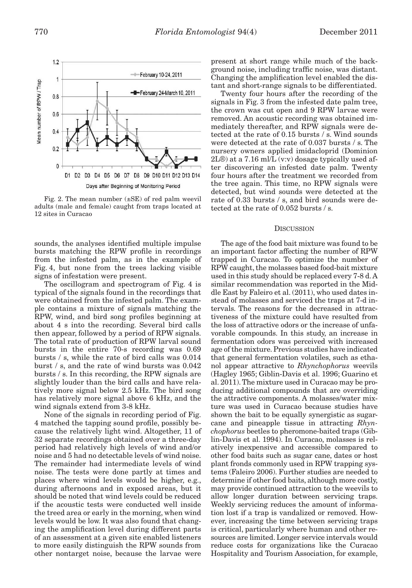

Fig. 2. The mean number  $(\pm SE)$  of red palm weevil adults (male and female) caught from traps located at 12 sites in Curacao

sounds, the analyses identified multiple impulse bursts matching the RPW profile in recordings from the infested palm, as in the example of Fig. 4, but none from the trees lacking visible signs of infestation were present.

The oscillogram and spectrogram of Fig. 4 is typical of the signals found in the recordings that were obtained from the infested palm. The example contains a mixture of signals matching the RPW, wind, and bird song profiles beginning at about 4 s into the recording. Several bird calls then appear, followed by a period of RPW signals. The total rate of production of RPW larval sound bursts in the entire 70-s recording was 0.69 bursts / s, while the rate of bird calls was 0.014 burst / s, and the rate of wind bursts was 0.042 bursts / s. In this recording, the RPW signals are slightly louder than the bird calls and have relatively more signal below 2.5 kHz. The bird song has relatively more signal above 6 kHz, and the wind signals extend from 3-8 kHz.

None of the signals in recording period of Fig. 4 matched the tapping sound profile, possibly because the relatively light wind. Altogether, 11 of 32 separate recordings obtained over a three-day period had relatively high levels of wind and/or noise and 5 had no detectable levels of wind noise. The remainder had intermediate levels of wind noise. The tests were done partly at times and places where wind levels would be higher, e.g., during afternoons and in exposed areas, but it should be noted that wind levels could be reduced if the acoustic tests were conducted well inside the treed area or early in the morning, when wind levels would be low. It was also found that changing the amplification level during different parts of an assessment at a given site enabled listeners to more easily distinguish the RPW sounds from other nontarget noise, because the larvae were

present at short range while much of the background noise, including traffic noise, was distant. Changing the amplification level enabled the distant and short-range signals to be differentiated.

Twenty four hours after the recording of the signals in Fig. 3 from the infested date palm tree, the crown was cut open and 9 RPW larvae were removed. An acoustic recording was obtained immediately thereafter, and RPW signals were detected at the rate of 0.15 bursts / s. Wind sounds were detected at the rate of 0.037 bursts / s. The nursery owners applied imidacloprid (Dominion 2L®) at a 7.16 ml/L (v:v) dosage typically used after discovering an infested date palm. Twenty four hours after the treatment we recorded from the tree again. This time, no RPW signals were detected, but wind sounds were detected at the rate of 0.33 bursts / s, and bird sounds were detected at the rate of 0.052 bursts / s.

#### **DISCUSSION**

The age of the food bait mixture was found to be an important factor affecting the number of RPW trapped in Curacao. To optimize the number of RPW caught, the molasses based food-bait mixture used in this study should be replaced every 7-8 d. A similar recommendation was reported in the Middle East by Faleiro et al. (2011), who used dates instead of molasses and serviced the traps at 7-d intervals. The reasons for the decreased in attractiveness of the mixture could have resulted from the loss of attractive odors or the increase of unfavorable compounds. In this study, an increase in fermentation odors was perceived with increased age of the mixture. Previous studies have indicated that general fermentation volatiles, such as ethanol appear attractive to *Rhynchophorus* weevils (Hagley 1965; Giblin-Davis et al. 1996; Guarino et al. 2011). The mixture used in Curacao may be producing additional compounds that are overriding the attractive components. A molasses/water mixture was used in Curacao because studies have shown the bait to be equally synergistic as sugarcane and pineapple tissue in attracting *Rhynchophorus* beetles to pheromone-baited traps (Giblin-Davis et al. 1994). In Curacao, molasses is relatively inexpensive and accessible compared to other food baits such as sugar cane, dates or host plant fronds commonly used in RPW trapping systems (Faleiro 2006). Further studies are needed to determine if other food baits, although more costly, may provide continued attraction to the weevils to allow longer duration between servicing traps. Weekly servicing reduces the amount of information lost if a trap is vandalized or removed. However, increasing the time between servicing traps is critical, particularly where human and other resources are limited. Longer service intervals would reduce costs for organizations like the Curacao Hospitality and Tourism Association, for example,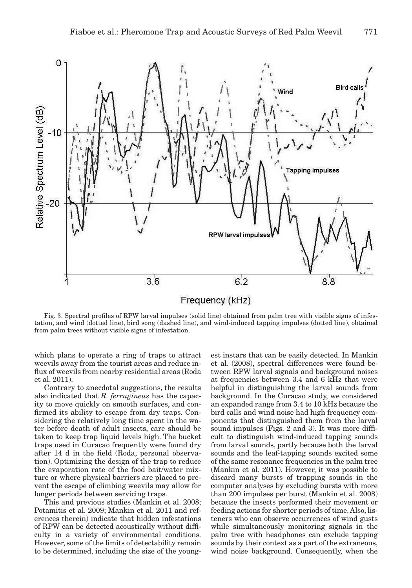

Fig. 3. Spectral profiles of RPW larval impulses (solid line) obtained from palm tree with visible signs of infestation, and wind (dotted line), bird song (dashed line), and wind-induced tapping impulses (dotted line), obtained from palm trees without visible signs of infestation.

which plans to operate a ring of traps to attract weevils away from the tourist areas and reduce influx of weevils from nearby residential areas (Roda et al. 2011).

Contrary to anecdotal suggestions, the results also indicated that *R. ferrugineus* has the capacity to move quickly on smooth surfaces, and confirmed its ability to escape from dry traps. Considering the relatively long time spent in the water before death of adult insects, care should be taken to keep trap liquid levels high. The bucket traps used in Curacao frequently were found dry after 14 d in the field (Roda, personal observation). Optimizing the design of the trap to reduce the evaporation rate of the food bait/water mixture or where physical barriers are placed to prevent the escape of climbing weevils may allow for longer periods between servicing traps.

This and previous studies (Mankin et al. 2008; Potamitis et al. 2009; Mankin et al. 2011 and references therein) indicate that hidden infestations of RPW can be detected acoustically without difficulty in a variety of environmental conditions. However, some of the limits of detectability remain to be determined, including the size of the young-

est instars that can be easily detected. In Mankin et al. (2008), spectral differences were found between RPW larval signals and background noises at frequencies between 3.4 and 6 kHz that were helpful in distinguishing the larval sounds from background. In the Curacao study, we considered an expanded range from 3.4 to 10 kHz because the bird calls and wind noise had high frequency components that distinguished them from the larval sound impulses (Figs. 2 and 3). It was more difficult to distinguish wind-induced tapping sounds from larval sounds, partly because both the larval sounds and the leaf-tapping sounds excited some of the same resonance frequencies in the palm tree (Mankin et al. 2011). However, it was possible to discard many bursts of trapping sounds in the computer analyses by excluding bursts with more than 200 impulses per burst (Mankin et al. 2008) because the insects performed their movement or feeding actions for shorter periods of time. Also, listeners who can observe occurrences of wind gusts while simultaneously monitoring signals in the palm tree with headphones can exclude tapping sounds by their context as a part of the extraneous, wind noise background. Consequently, when the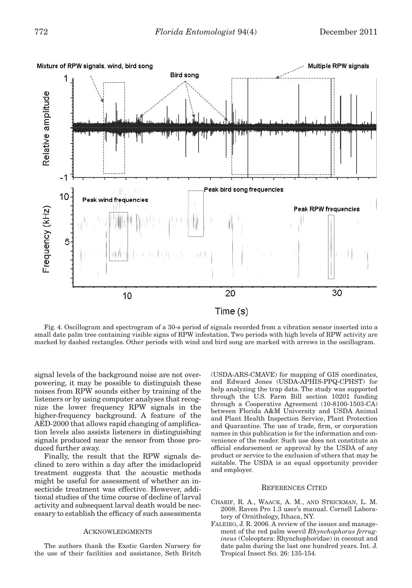

Fig. 4. Oscillogram and spectrogram of a 30-s period of signals recorded from a vibration sensor inserted into a small date palm tree containing visible signs of RPW infestation. Two periods with high levels of RPW activity are marked by dashed rectangles. Other periods with wind and bird song are marked with arrows in the oscillogram.

signal levels of the background noise are not overpowering, it may be possible to distinguish these noises from RPW sounds either by training of the listeners or by using computer analyses that recognize the lower frequency RPW signals in the higher-frequency background. A feature of the AED-2000 that allows rapid changing of amplification levels also assists listeners in distinguishing signals produced near the sensor from those produced further away.

Finally, the result that the RPW signals declined to zero within a day after the imidacloprid treatment suggests that the acoustic methods might be useful for assessment of whether an insecticide treatment was effective. However, additional studies of the time course of decline of larval activity and subsequent larval death would be necessary to establish the efficacy of such assessments

#### ACKNOWLEDGMENTS

The authors thank the Exotic Garden Nursery for the use of their facilities and assistance, Seth Britch (USDA-ARS-CMAVE) for mapping of GIS coordinates, and Edward Jones (USDA-APHIS-PPQ-CPHST) for help analyzing the trap data. The study was supported through the U.S. Farm Bill section 10201 funding through a Cooperative Agreement (10-8100-1503-CA) between Florida A&M University and USDA Animal and Plant Health Inspection Service, Plant Protection and Quarantine. The use of trade, firm, or corporation names in this publication is for the information and convenience of the reader. Such use does not constitute an official endorsement or approval by the USDA of any product or service to the exclusion of others that may be suitable. The USDA is an equal opportunity provider and employer.

#### REFERENCES CITED

- CHARIF, R. A., WAACK, A. M., AND STRICKMAN, L. M. 2008. Raven Pro 1.3 user's manual. Cornell Laboratory of Ornithology, Ithaca, NY.
- FALEIRO, J. R. 2006. A review of the issues and management of the red palm weevil *Rhynchophorus ferrugineus* (Coleoptera: Rhynchophoridae) in coconut and date palm during the last one hundred years. Int. J. Tropical Insect Sci. 26: 135-154.